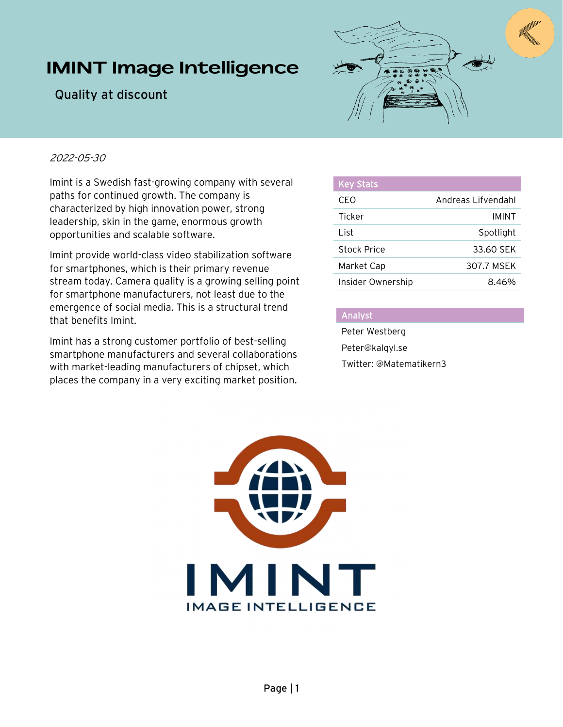## **IMINT Image Intelligence**

Quality at discount



#### 2022-05-30

Imint is a Swedish fast-growing company with several paths for continued growth. The company is characterized by high innovation power, strong leadership, skin in the game, enormous growth opportunities and scalable software.

Imint provide world-class video stabilization software for smartphones, which is their primary revenue stream today. Camera quality is a growing selling point for smartphone manufacturers, not least due to the emergence of social media. This is a structural trend that benefits Imint.

Imint has a strong customer portfolio of best-selling smartphone manufacturers and several collaborations with market-leading manufacturers of chipset, which places the company in a very exciting market position.

| <b>Key Stats</b>  |                    |
|-------------------|--------------------|
| CFO               | Andreas Lifvendahl |
| Ticker            | IMINT              |
| I ist             | Spotlight          |
| Stock Price       | 33.60 SFK          |
| Market Cap        | 307.7 MSFK         |
| Insider Ownership | 8 46%              |

| Analyst                 |
|-------------------------|
| Peter Westberg          |
| Peter@kalqyl.se         |
| Twitter: @Matematikern3 |

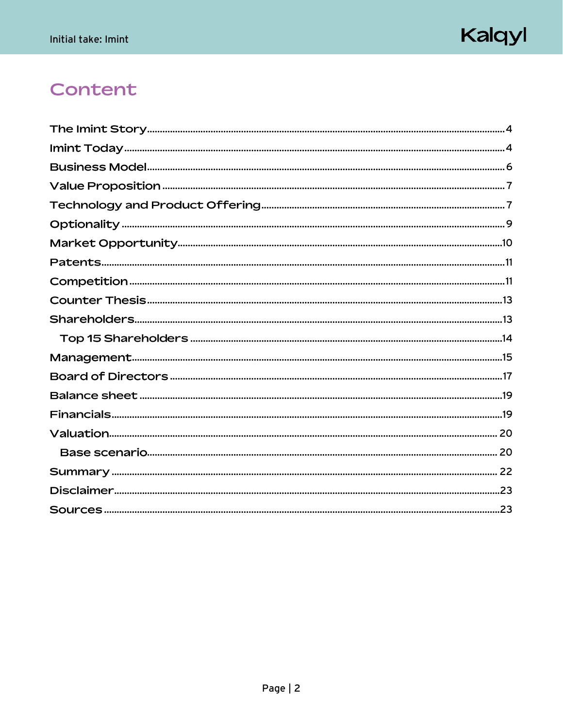

## Content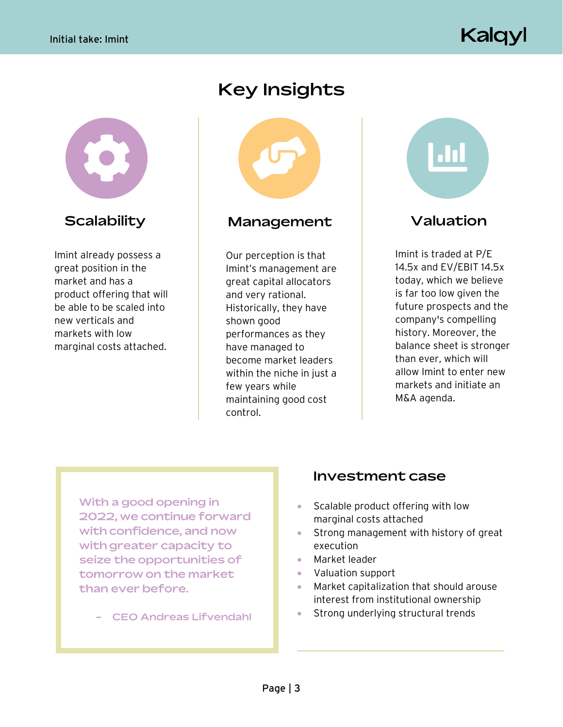

### Scalability

Imint already possess a great position in the market and has a product offering that will be able to be scaled into new verticals and markets with low marginal costs attached.

## **Key Insights**



#### Management

Our perception is that Imint's management are great capital allocators and very rational. Historically, they have shown good performances as they have managed to become market leaders within the niche in just a few years while maintaining good cost control.



#### Valuation

Imint is traded at P/E 14.5x and EV/EBIT 14.5x today, which we believe is far too low given the future prospects and the company's compelling history. Moreover, the balance sheet is stronger than ever, which will allow Imint to enter new markets and initiate an M&A agenda.

With a good opening in 2022, we continue forward with confidence, and now with greater capacity to seize the opportunities of tomorrow on the market than ever before.

- CEO Andreas Lifvendahl

#### **Investment case**

- Scalable product offering with low marginal costs attached
- Strong management with history of great execution
- Market leader
- Valuation support
- Market capitalization that should arouse interest from institutional ownership
- Strong underlying structural trends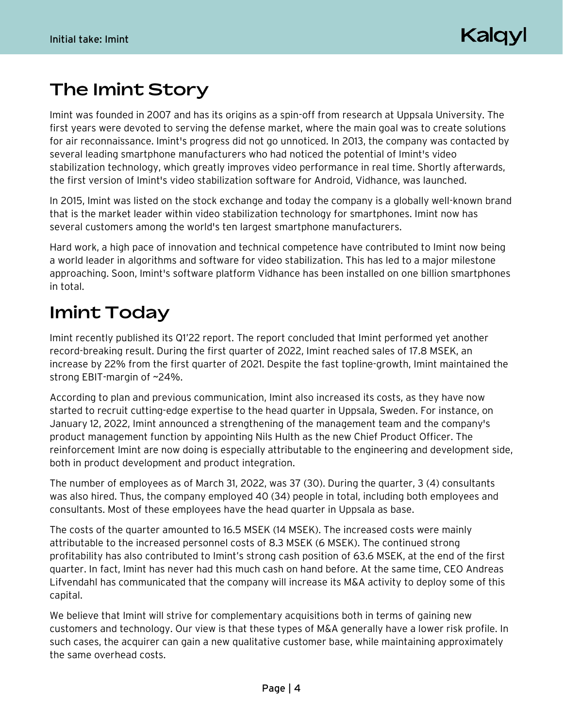Kalqyl

## <span id="page-3-0"></span>The Imint Story

Imint was founded in 2007 and has its origins as a spin-off from research at Uppsala University. The first years were devoted to serving the defense market, where the main goal was to create solutions for air reconnaissance. Imint's progress did not go unnoticed. In 2013, the company was contacted by several leading smartphone manufacturers who had noticed the potential of Imint's video stabilization technology, which greatly improves video performance in real time. Shortly afterwards, the first version of Imint's video stabilization software for Android, Vidhance, was launched.

In 2015, Imint was listed on the stock exchange and today the company is a globally well-known brand that is the market leader within video stabilization technology for smartphones. Imint now has several customers among the world's ten largest smartphone manufacturers.

Hard work, a high pace of innovation and technical competence have contributed to Imint now being a world leader in algorithms and software for video stabilization. This has led to a major milestone approaching. Soon, Imint's software platform Vidhance has been installed on one billion smartphones in total.

## <span id="page-3-1"></span>**Imint Today**

Imint recently published its Q1'22 report. The report concluded that Imint performed yet another record-breaking result. During the first quarter of 2022, Imint reached sales of 17.8 MSEK, an increase by 22% from the first quarter of 2021. Despite the fast topline-growth, Imint maintained the strong EBIT-margin of ~24%.

According to plan and previous communication, Imint also increased its costs, as they have now started to recruit cutting-edge expertise to the head quarter in Uppsala, Sweden. For instance, on January 12, 2022, Imint announced a strengthening of the management team and the company's product management function by appointing Nils Hulth as the new Chief Product Officer. The reinforcement Imint are now doing is especially attributable to the engineering and development side, both in product development and product integration.

The number of employees as of March 31, 2022, was 37 (30). During the quarter, 3 (4) consultants was also hired. Thus, the company employed 40 (34) people in total, including both employees and consultants. Most of these employees have the head quarter in Uppsala as base.

The costs of the quarter amounted to 16.5 MSEK (14 MSEK). The increased costs were mainly attributable to the increased personnel costs of 8.3 MSEK (6 MSEK). The continued strong profitability has also contributed to Imint's strong cash position of 63.6 MSEK, at the end of the first quarter. In fact, Imint has never had this much cash on hand before. At the same time, CEO Andreas Lifvendahl has communicated that the company will increase its M&A activity to deploy some of this capital.

We believe that Imint will strive for complementary acquisitions both in terms of gaining new customers and technology. Our view is that these types of M&A generally have a lower risk profile. In such cases, the acquirer can gain a new qualitative customer base, while maintaining approximately the same overhead costs.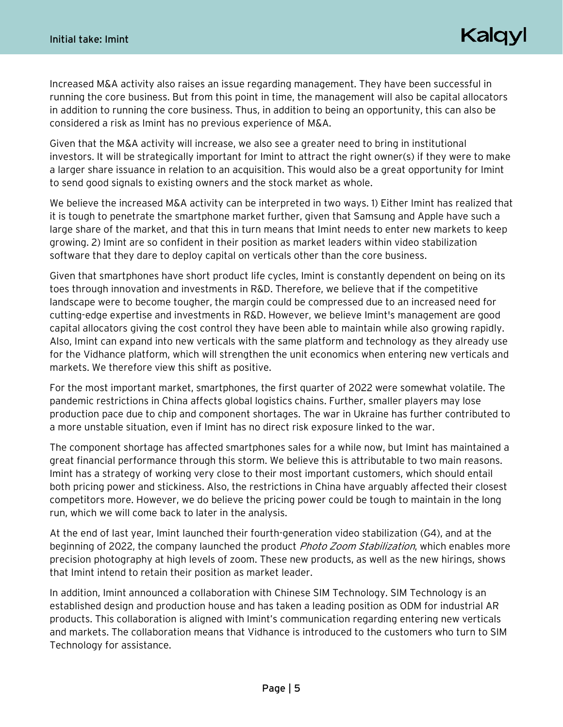Increased M&A activity also raises an issue regarding management. They have been successful in running the core business. But from this point in time, the management will also be capital allocators in addition to running the core business. Thus, in addition to being an opportunity, this can also be considered a risk as Imint has no previous experience of M&A.

Given that the M&A activity will increase, we also see a greater need to bring in institutional investors. It will be strategically important for Imint to attract the right owner(s) if they were to make a larger share issuance in relation to an acquisition. This would also be a great opportunity for Imint to send good signals to existing owners and the stock market as whole.

We believe the increased M&A activity can be interpreted in two ways. 1) Either Imint has realized that it is tough to penetrate the smartphone market further, given that Samsung and Apple have such a large share of the market, and that this in turn means that Imint needs to enter new markets to keep growing. 2) Imint are so confident in their position as market leaders within video stabilization software that they dare to deploy capital on verticals other than the core business.

Given that smartphones have short product life cycles, Imint is constantly dependent on being on its toes through innovation and investments in R&D. Therefore, we believe that if the competitive landscape were to become tougher, the margin could be compressed due to an increased need for cutting-edge expertise and investments in R&D. However, we believe Imint's management are good capital allocators giving the cost control they have been able to maintain while also growing rapidly. Also, Imint can expand into new verticals with the same platform and technology as they already use for the Vidhance platform, which will strengthen the unit economics when entering new verticals and markets. We therefore view this shift as positive.

For the most important market, smartphones, the first quarter of 2022 were somewhat volatile. The pandemic restrictions in China affects global logistics chains. Further, smaller players may lose production pace due to chip and component shortages. The war in Ukraine has further contributed to a more unstable situation, even if Imint has no direct risk exposure linked to the war.

The component shortage has affected smartphones sales for a while now, but Imint has maintained a great financial performance through this storm. We believe this is attributable to two main reasons. Imint has a strategy of working very close to their most important customers, which should entail both pricing power and stickiness. Also, the restrictions in China have arguably affected their closest competitors more. However, we do believe the pricing power could be tough to maintain in the long run, which we will come back to later in the analysis.

At the end of last year, Imint launched their fourth-generation video stabilization (G4), and at the beginning of 2022, the company launched the product *Photo Zoom Stabilization*, which enables more precision photography at high levels of zoom. These new products, as well as the new hirings, shows that Imint intend to retain their position as market leader.

In addition, Imint announced a collaboration with Chinese SIM Technology. SIM Technology is an established design and production house and has taken a leading position as ODM for industrial AR products. This collaboration is aligned with Imint's communication regarding entering new verticals and markets. The collaboration means that Vidhance is introduced to the customers who turn to SIM Technology for assistance.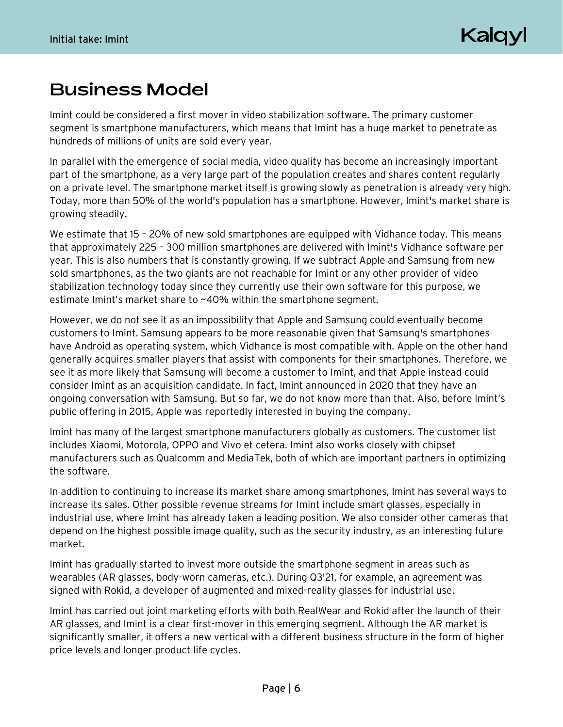## <span id="page-5-0"></span>**Business Model**

Imint could be considered a first mover in video stabilization software. The primary customer segment is smartphone manufacturers, which means that Imint has a huge market to penetrate as hundreds of millions of units are sold every year.

In parallel with the emergence of social media, video quality has become an increasingly important part of the smartphone, as a very large part of the population creates and shares content regularly on a private level. The smartphone market itself is growing slowly as penetration is already very high. Today, more than 50% of the world's population has a smartphone. However, Imint's market share is growing steadily.

We estimate that 15 - 20% of new sold smartphones are equipped with Vidhance today. This means that approximately 225 – 300 million smartphones are delivered with Imint's Vidhance software per year. This is also numbers that is constantly growing. If we subtract Apple and Samsung from new sold smartphones, as the two giants are not reachable for Imint or any other provider of video stabilization technology today since they currently use their own software for this purpose, we estimate Imint's market share to ~40% within the smartphone segment.

However, we do not see it as an impossibility that Apple and Samsung could eventually become customers to Imint. Samsung appears to be more reasonable given that Samsung's smartphones have Android as operating system, which Vidhance is most compatible with. Apple on the other hand generally acquires smaller players that assist with components for their smartphones. Therefore, we see it as more likely that Samsung will become a customer to Imint, and that Apple instead could consider Imint as an acquisition candidate. In fact, Imint announced in 2020 that they have an ongoing conversation with Samsung. But so far, we do not know more than that. Also, before Imint's public offering in 2015, Apple was reportedly interested in buying the company.

Imint has many of the largest smartphone manufacturers globally as customers. The customer list includes Xiaomi, Motorola, OPPO and Vivo et cetera. Imint also works closely with chipset manufacturers such as Qualcomm and MediaTek, both of which are important partners in optimizing the software.

In addition to continuing to increase its market share among smartphones, Imint has several ways to increase its sales. Other possible revenue streams for Imint include smart glasses, especially in industrial use, where Imint has already taken a leading position. We also consider other cameras that depend on the highest possible image quality, such as the security industry, as an interesting future market.

Imint has gradually started to invest more outside the smartphone segment in areas such as wearables (AR glasses, body-worn cameras, etc.). During Q3'21, for example, an agreement was signed with Rokid, a developer of augmented and mixed-reality glasses for industrial use.

Imint has carried out joint marketing efforts with both RealWear and Rokid after the launch of their AR glasses, and Imint is a clear first-mover in this emerging segment. Although the AR market is significantly smaller, it offers a new vertical with a different business structure in the form of higher price levels and longer product life cycles.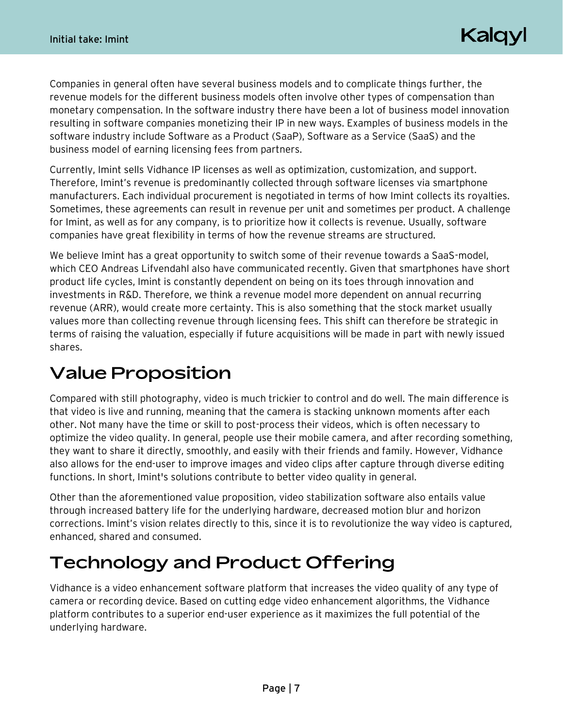Companies in general often have several business models and to complicate things further, the revenue models for the different business models often involve other types of compensation than monetary compensation. In the software industry there have been a lot of business model innovation resulting in software companies monetizing their IP in new ways. Examples of business models in the software industry include Software as a Product (SaaP), Software as a Service (SaaS) and the business model of earning licensing fees from partners.

Currently, Imint sells Vidhance IP licenses as well as optimization, customization, and support. Therefore, Imint's revenue is predominantly collected through software licenses via smartphone manufacturers. Each individual procurement is negotiated in terms of how Imint collects its royalties. Sometimes, these agreements can result in revenue per unit and sometimes per product. A challenge for Imint, as well as for any company, is to prioritize how it collects is revenue. Usually, software companies have great flexibility in terms of how the revenue streams are structured.

We believe Imint has a great opportunity to switch some of their revenue towards a SaaS-model, which CEO Andreas Lifvendahl also have communicated recently. Given that smartphones have short product life cycles, Imint is constantly dependent on being on its toes through innovation and investments in R&D. Therefore, we think a revenue model more dependent on annual recurring revenue (ARR), would create more certainty. This is also something that the stock market usually values more than collecting revenue through licensing fees. This shift can therefore be strategic in terms of raising the valuation, especially if future acquisitions will be made in part with newly issued shares.

## <span id="page-6-0"></span>**Value Proposition**

Compared with still photography, video is much trickier to control and do well. The main difference is that video is live and running, meaning that the camera is stacking unknown moments after each other. Not many have the time or skill to post-process their videos, which is often necessary to optimize the video quality. In general, people use their mobile camera, and after recording something, they want to share it directly, smoothly, and easily with their friends and family. However, Vidhance also allows for the end-user to improve images and video clips after capture through diverse editing functions. In short, Imint's solutions contribute to better video quality in general.

Other than the aforementioned value proposition, video stabilization software also entails value through increased battery life for the underlying hardware, decreased motion blur and horizon corrections. Imint's vision relates directly to this, since it is to revolutionize the way video is captured, enhanced, shared and consumed.

## <span id="page-6-1"></span>**Technology and Product Offering**

Vidhance is a video enhancement software platform that increases the video quality of any type of camera or recording device. Based on cutting edge video enhancement algorithms, the Vidhance platform contributes to a superior end-user experience as it maximizes the full potential of the underlying hardware.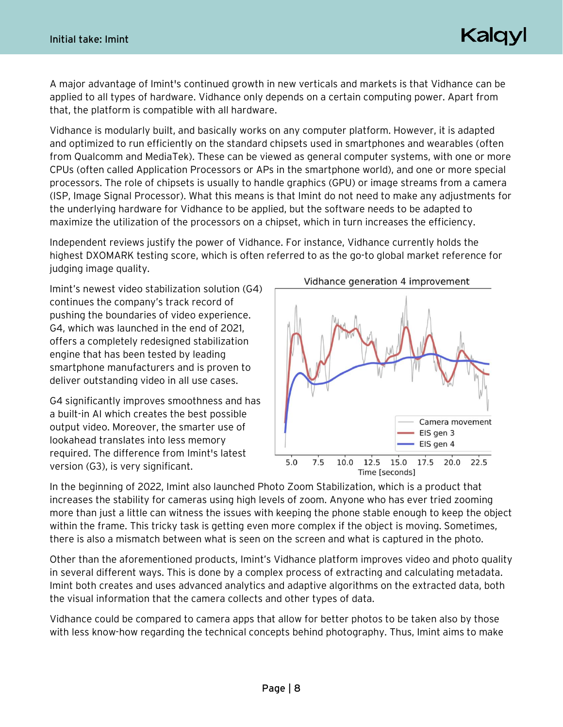A major advantage of Imint's continued growth in new verticals and markets is that Vidhance can be applied to all types of hardware. Vidhance only depends on a certain computing power. Apart from that, the platform is compatible with all hardware.

Vidhance is modularly built, and basically works on any computer platform. However, it is adapted and optimized to run efficiently on the standard chipsets used in smartphones and wearables (often from Qualcomm and MediaTek). These can be viewed as general computer systems, with one or more CPUs (often called Application Processors or APs in the smartphone world), and one or more special processors. The role of chipsets is usually to handle graphics (GPU) or image streams from a camera (ISP, Image Signal Processor). What this means is that Imint do not need to make any adjustments for the underlying hardware for Vidhance to be applied, but the software needs to be adapted to maximize the utilization of the processors on a chipset, which in turn increases the efficiency.

Independent reviews justify the power of Vidhance. For instance, Vidhance currently holds the highest DXOMARK testing score, which is often referred to as the go-to global market reference for judging image quality.

Imint's newest video stabilization solution (G4) continues the company's track record of pushing the boundaries of video experience. G4, which was launched in the end of 2021, offers a completely redesigned stabilization engine that has been tested by leading smartphone manufacturers and is proven to deliver outstanding video in all use cases.

G4 significantly improves smoothness and has a built-in AI which creates the best possible output video. Moreover, the smarter use of lookahead translates into less memory required. The difference from Imint's latest version (G3), is very significant.



In the beginning of 2022, Imint also launched Photo Zoom Stabilization, which is a product that increases the stability for cameras using high levels of zoom. Anyone who has ever tried zooming more than just a little can witness the issues with keeping the phone stable enough to keep the object within the frame. This tricky task is getting even more complex if the object is moving. Sometimes, there is also a mismatch between what is seen on the screen and what is captured in the photo.

Other than the aforementioned products, Imint's Vidhance platform improves video and photo quality in several different ways. This is done by a complex process of extracting and calculating metadata. Imint both creates and uses advanced analytics and adaptive algorithms on the extracted data, both the visual information that the camera collects and other types of data.

Vidhance could be compared to camera apps that allow for better photos to be taken also by those with less know-how regarding the technical concepts behind photography. Thus, Imint aims to make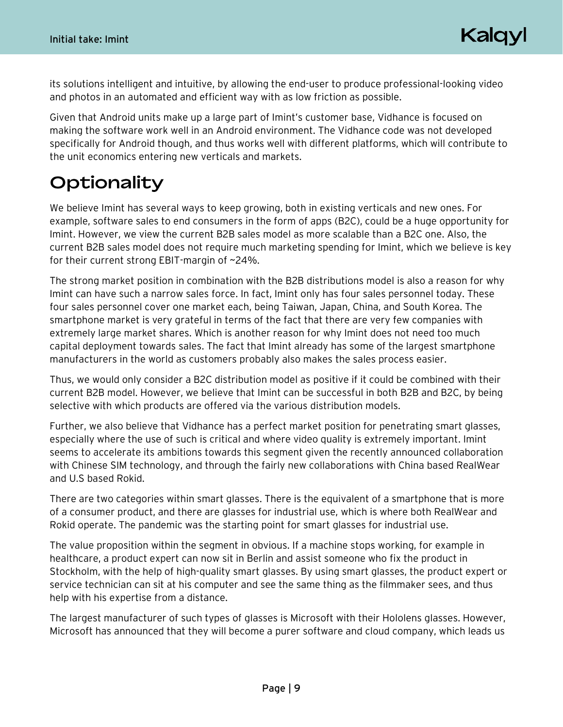its solutions intelligent and intuitive, by allowing the end-user to produce professional-looking video and photos in an automated and efficient way with as low friction as possible.

Given that Android units make up a large part of Imint's customer base, Vidhance is focused on making the software work well in an Android environment. The Vidhance code was not developed specifically for Android though, and thus works well with different platforms, which will contribute to the unit economics entering new verticals and markets.

## <span id="page-8-0"></span>Optionality

We believe Imint has several ways to keep growing, both in existing verticals and new ones. For example, software sales to end consumers in the form of apps (B2C), could be a huge opportunity for Imint. However, we view the current B2B sales model as more scalable than a B2C one. Also, the current B2B sales model does not require much marketing spending for Imint, which we believe is key for their current strong EBIT-margin of ~24%.

The strong market position in combination with the B2B distributions model is also a reason for why Imint can have such a narrow sales force. In fact, Imint only has four sales personnel today. These four sales personnel cover one market each, being Taiwan, Japan, China, and South Korea. The smartphone market is very grateful in terms of the fact that there are very few companies with extremely large market shares. Which is another reason for why Imint does not need too much capital deployment towards sales. The fact that Imint already has some of the largest smartphone manufacturers in the world as customers probably also makes the sales process easier.

Thus, we would only consider a B2C distribution model as positive if it could be combined with their current B2B model. However, we believe that Imint can be successful in both B2B and B2C, by being selective with which products are offered via the various distribution models.

Further, we also believe that Vidhance has a perfect market position for penetrating smart glasses, especially where the use of such is critical and where video quality is extremely important. Imint seems to accelerate its ambitions towards this segment given the recently announced collaboration with Chinese SIM technology, and through the fairly new collaborations with China based RealWear and U.S based Rokid.

There are two categories within smart glasses. There is the equivalent of a smartphone that is more of a consumer product, and there are glasses for industrial use, which is where both RealWear and Rokid operate. The pandemic was the starting point for smart glasses for industrial use.

The value proposition within the segment in obvious. If a machine stops working, for example in healthcare, a product expert can now sit in Berlin and assist someone who fix the product in Stockholm, with the help of high-quality smart glasses. By using smart glasses, the product expert or service technician can sit at his computer and see the same thing as the filmmaker sees, and thus help with his expertise from a distance.

The largest manufacturer of such types of glasses is Microsoft with their Hololens glasses. However, Microsoft has announced that they will become a purer software and cloud company, which leads us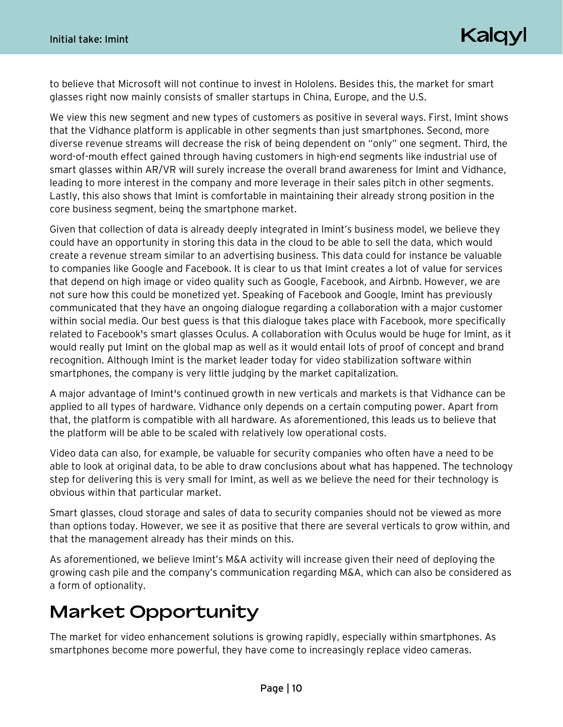to believe that Microsoft will not continue to invest in Hololens. Besides this, the market for smart glasses right now mainly consists of smaller startups in China, Europe, and the U.S.

We view this new segment and new types of customers as positive in several ways. First, Imint shows that the Vidhance platform is applicable in other segments than just smartphones. Second, more diverse revenue streams will decrease the risk of being dependent on "only" one segment. Third, the word-of-mouth effect gained through having customers in high-end segments like industrial use of smart glasses within AR/VR will surely increase the overall brand awareness for Imint and Vidhance, leading to more interest in the company and more leverage in their sales pitch in other segments. Lastly, this also shows that Imint is comfortable in maintaining their already strong position in the core business segment, being the smartphone market.

Given that collection of data is already deeply integrated in Imint's business model, we believe they could have an opportunity in storing this data in the cloud to be able to sell the data, which would create a revenue stream similar to an advertising business. This data could for instance be valuable to companies like Google and Facebook. It is clear to us that Imint creates a lot of value for services that depend on high image or video quality such as Google, Facebook, and Airbnb. However, we are not sure how this could be monetized yet. Speaking of Facebook and Google, Imint has previously communicated that they have an ongoing dialogue regarding a collaboration with a major customer within social media. Our best guess is that this dialogue takes place with Facebook, more specifically related to Facebook's smart glasses Oculus. A collaboration with Oculus would be huge for Imint, as it would really put Imint on the global map as well as it would entail lots of proof of concept and brand recognition. Although Imint is the market leader today for video stabilization software within smartphones, the company is very little judging by the market capitalization.

A major advantage of Imint's continued growth in new verticals and markets is that Vidhance can be applied to all types of hardware. Vidhance only depends on a certain computing power. Apart from that, the platform is compatible with all hardware. As aforementioned, this leads us to believe that the platform will be able to be scaled with relatively low operational costs.

Video data can also, for example, be valuable for security companies who often have a need to be able to look at original data, to be able to draw conclusions about what has happened. The technology step for delivering this is very small for Imint, as well as we believe the need for their technology is obvious within that particular market.

Smart glasses, cloud storage and sales of data to security companies should not be viewed as more than options today. However, we see it as positive that there are several verticals to grow within, and that the management already has their minds on this.

As aforementioned, we believe Imint's M&A activity will increase given their need of deploying the growing cash pile and the company's communication regarding M&A, which can also be considered as a form of optionality.

## <span id="page-9-0"></span>**Market Opportunity**

The market for video enhancement solutions is growing rapidly, especially within smartphones. As smartphones become more powerful, they have come to increasingly replace video cameras.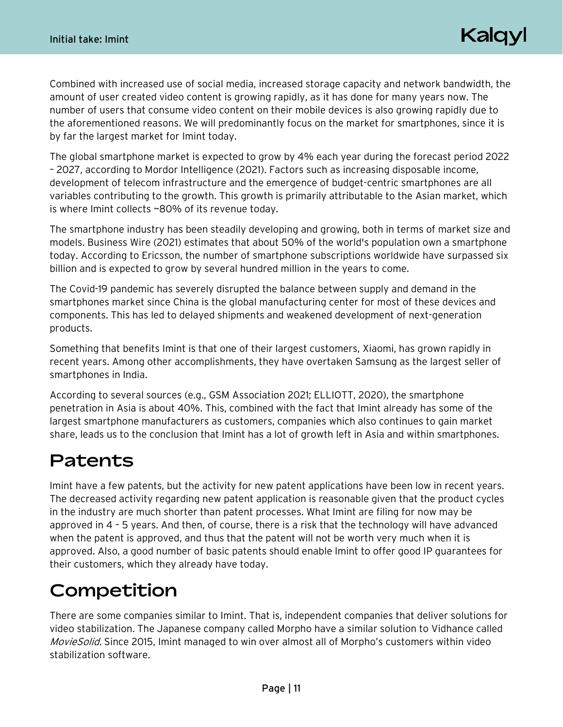Combined with increased use of social media, increased storage capacity and network bandwidth, the amount of user created video content is growing rapidly, as it has done for many years now. The number of users that consume video content on their mobile devices is also growing rapidly due to the aforementioned reasons. We will predominantly focus on the market for smartphones, since it is by far the largest market for Imint today.

The global smartphone market is expected to grow by 4% each year during the forecast period 2022 – 2027, according to Mordor Intelligence (2021). Factors such as increasing disposable income, development of telecom infrastructure and the emergence of budget-centric smartphones are all variables contributing to the growth. This growth is primarily attributable to the Asian market, which is where Imint collects ~80% of its revenue today.

The smartphone industry has been steadily developing and growing, both in terms of market size and models. Business Wire (2021) estimates that about 50% of the world's population own a smartphone today. According to Ericsson, the number of smartphone subscriptions worldwide have surpassed six billion and is expected to grow by several hundred million in the years to come.

The Covid-19 pandemic has severely disrupted the balance between supply and demand in the smartphones market since China is the global manufacturing center for most of these devices and components. This has led to delayed shipments and weakened development of next-generation products.

Something that benefits Imint is that one of their largest customers, Xiaomi, has grown rapidly in recent years. Among other accomplishments, they have overtaken Samsung as the largest seller of smartphones in India.

According to several sources (e.g., GSM Association 2021; ELLIOTT, 2020), the smartphone penetration in Asia is about 40%. This, combined with the fact that Imint already has some of the largest smartphone manufacturers as customers, companies which also continues to gain market share, leads us to the conclusion that Imint has a lot of growth left in Asia and within smartphones.

### <span id="page-10-0"></span>**Patents**

Imint have a few patents, but the activity for new patent applications have been low in recent years. The decreased activity regarding new patent application is reasonable given that the product cycles in the industry are much shorter than patent processes. What Imint are filing for now may be approved in 4 – 5 years. And then, of course, there is a risk that the technology will have advanced when the patent is approved, and thus that the patent will not be worth very much when it is approved. Also, a good number of basic patents should enable Imint to offer good IP guarantees for their customers, which they already have today.

## <span id="page-10-1"></span>Competition

There are some companies similar to Imint. That is, independent companies that deliver solutions for video stabilization. The Japanese company called Morpho have a similar solution to Vidhance called MovieSolid. Since 2015, Imint managed to win over almost all of Morpho's customers within video stabilization software.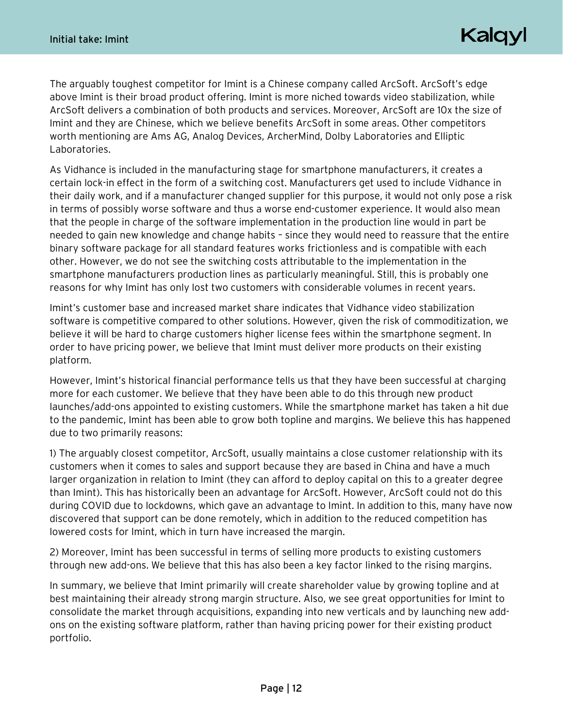The arguably toughest competitor for Imint is a Chinese company called ArcSoft. ArcSoft's edge above Imint is their broad product offering. Imint is more niched towards video stabilization, while ArcSoft delivers a combination of both products and services. Moreover, ArcSoft are 10x the size of Imint and they are Chinese, which we believe benefits ArcSoft in some areas. Other competitors worth mentioning are Ams AG, Analog Devices, ArcherMind, Dolby Laboratories and Elliptic Laboratories.

As Vidhance is included in the manufacturing stage for smartphone manufacturers, it creates a certain lock-in effect in the form of a switching cost. Manufacturers get used to include Vidhance in their daily work, and if a manufacturer changed supplier for this purpose, it would not only pose a risk in terms of possibly worse software and thus a worse end-customer experience. It would also mean that the people in charge of the software implementation in the production line would in part be needed to gain new knowledge and change habits – since they would need to reassure that the entire binary software package for all standard features works frictionless and is compatible with each other. However, we do not see the switching costs attributable to the implementation in the smartphone manufacturers production lines as particularly meaningful. Still, this is probably one reasons for why Imint has only lost two customers with considerable volumes in recent years.

Imint's customer base and increased market share indicates that Vidhance video stabilization software is competitive compared to other solutions. However, given the risk of commoditization, we believe it will be hard to charge customers higher license fees within the smartphone segment. In order to have pricing power, we believe that Imint must deliver more products on their existing platform.

However, Imint's historical financial performance tells us that they have been successful at charging more for each customer. We believe that they have been able to do this through new product launches/add-ons appointed to existing customers. While the smartphone market has taken a hit due to the pandemic, Imint has been able to grow both topline and margins. We believe this has happened due to two primarily reasons:

1) The arguably closest competitor, ArcSoft, usually maintains a close customer relationship with its customers when it comes to sales and support because they are based in China and have a much larger organization in relation to Imint (they can afford to deploy capital on this to a greater degree than Imint). This has historically been an advantage for ArcSoft. However, ArcSoft could not do this during COVID due to lockdowns, which gave an advantage to Imint. In addition to this, many have now discovered that support can be done remotely, which in addition to the reduced competition has lowered costs for Imint, which in turn have increased the margin.

2) Moreover, Imint has been successful in terms of selling more products to existing customers through new add-ons. We believe that this has also been a key factor linked to the rising margins.

In summary, we believe that Imint primarily will create shareholder value by growing topline and at best maintaining their already strong margin structure. Also, we see great opportunities for Imint to consolidate the market through acquisitions, expanding into new verticals and by launching new addons on the existing software platform, rather than having pricing power for their existing product portfolio.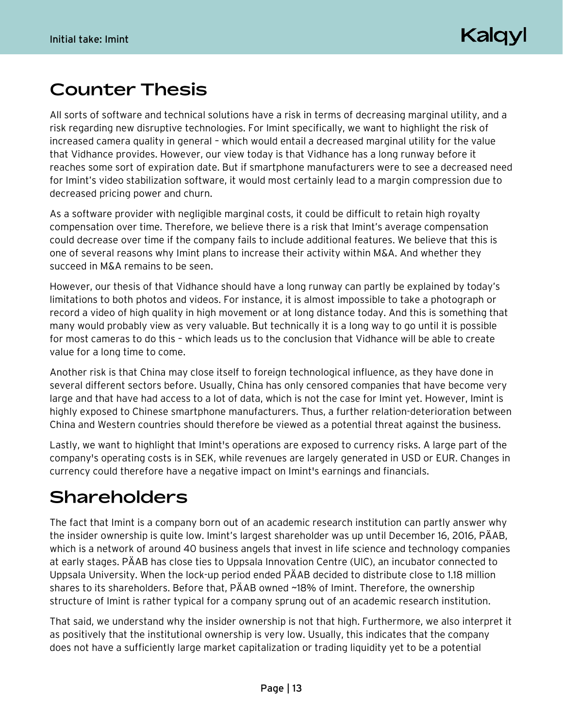## <span id="page-12-0"></span>**Counter Thesis**

All sorts of software and technical solutions have a risk in terms of decreasing marginal utility, and a risk regarding new disruptive technologies. For Imint specifically, we want to highlight the risk of increased camera quality in general – which would entail a decreased marginal utility for the value that Vidhance provides. However, our view today is that Vidhance has a long runway before it reaches some sort of expiration date. But if smartphone manufacturers were to see a decreased need for Imint's video stabilization software, it would most certainly lead to a margin compression due to decreased pricing power and churn.

As a software provider with negligible marginal costs, it could be difficult to retain high royalty compensation over time. Therefore, we believe there is a risk that Imint's average compensation could decrease over time if the company fails to include additional features. We believe that this is one of several reasons why Imint plans to increase their activity within M&A. And whether they succeed in M&A remains to be seen.

However, our thesis of that Vidhance should have a long runway can partly be explained by today's limitations to both photos and videos. For instance, it is almost impossible to take a photograph or record a video of high quality in high movement or at long distance today. And this is something that many would probably view as very valuable. But technically it is a long way to go until it is possible for most cameras to do this – which leads us to the conclusion that Vidhance will be able to create value for a long time to come.

Another risk is that China may close itself to foreign technological influence, as they have done in several different sectors before. Usually, China has only censored companies that have become very large and that have had access to a lot of data, which is not the case for Imint yet. However, Imint is highly exposed to Chinese smartphone manufacturers. Thus, a further relation-deterioration between China and Western countries should therefore be viewed as a potential threat against the business.

Lastly, we want to highlight that Imint's operations are exposed to currency risks. A large part of the company's operating costs is in SEK, while revenues are largely generated in USD or EUR. Changes in currency could therefore have a negative impact on Imint's earnings and financials.

## <span id="page-12-1"></span>**Shareholders**

The fact that Imint is a company born out of an academic research institution can partly answer why the insider ownership is quite low. Imint's largest shareholder was up until December 16, 2016, PÄAB, which is a network of around 40 business angels that invest in life science and technology companies at early stages. PÄAB has close ties to Uppsala Innovation Centre (UIC), an incubator connected to Uppsala University. When the lock-up period ended PÄAB decided to distribute close to 1.18 million shares to its shareholders. Before that, PÄAB owned ~18% of Imint. Therefore, the ownership structure of Imint is rather typical for a company sprung out of an academic research institution.

That said, we understand why the insider ownership is not that high. Furthermore, we also interpret it as positively that the institutional ownership is very low. Usually, this indicates that the company does not have a sufficiently large market capitalization or trading liquidity yet to be a potential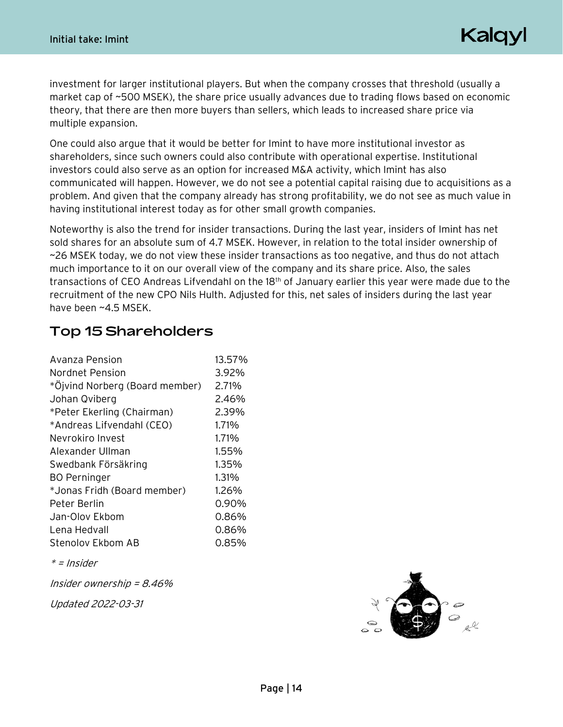Kalqyl

investment for larger institutional players. But when the company crosses that threshold (usually a market cap of ~500 MSEK), the share price usually advances due to trading flows based on economic theory, that there are then more buyers than sellers, which leads to increased share price via multiple expansion.

One could also argue that it would be better for Imint to have more institutional investor as shareholders, since such owners could also contribute with operational expertise. Institutional investors could also serve as an option for increased M&A activity, which Imint has also communicated will happen. However, we do not see a potential capital raising due to acquisitions as a problem. And given that the company already has strong profitability, we do not see as much value in having institutional interest today as for other small growth companies.

Noteworthy is also the trend for insider transactions. During the last year, insiders of Imint has net sold shares for an absolute sum of 4.7 MSEK. However, in relation to the total insider ownership of ~26 MSEK today, we do not view these insider transactions as too negative, and thus do not attach much importance to it on our overall view of the company and its share price. Also, the sales transactions of CEO Andreas Lifvendahl on the 18<sup>th</sup> of January earlier this year were made due to the recruitment of the new CPO Nils Hulth. Adjusted for this, net sales of insiders during the last year have been ~4.5 MSEK.

#### <span id="page-13-0"></span>**Top 15 Shareholders**

| Avanza Pension                 | 13.57% |
|--------------------------------|--------|
| Nordnet Pension                | 3.92%  |
| *Öjvind Norberg (Board member) | 2.71%  |
| Johan Qviberg                  | 2.46%  |
| *Peter Ekerling (Chairman)     | 2.39%  |
| *Andreas Lifvendahl (CEO)      | 1.71%  |
| Nevrokiro Invest               | 1.71%  |
| Alexander Ullman               | 1.55%  |
| Swedbank Försäkring            | 1.35%  |
| <b>BO</b> Perninger            | 1.31%  |
| *Jonas Fridh (Board member)    | 1.26%  |
| Peter Berlin                   | 0.90%  |
| Jan-Olov Ekbom                 | 0.86%  |
| Lena Hedvall                   | 0.86%  |
| Stenolov Ekbom AB              | 0.85%  |
| * = Insider                    |        |

Insider ownership = 8.46%

Updated 2022-03-31

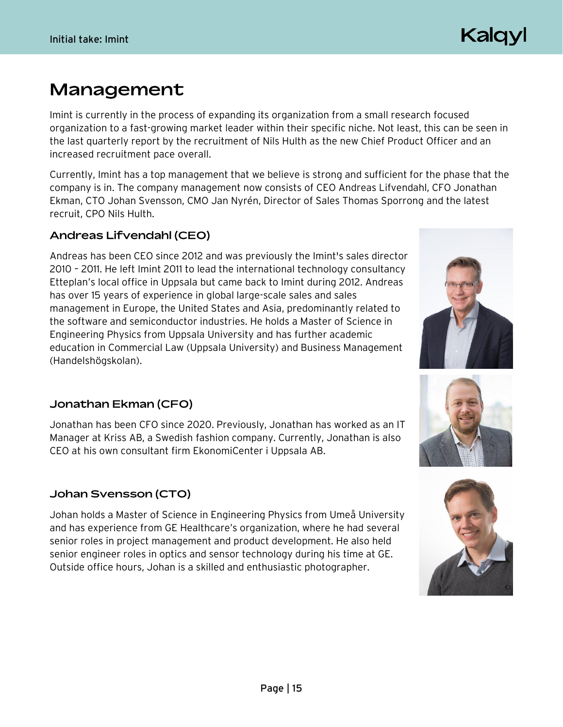## Kalgyl

## <span id="page-14-0"></span>Management

Imint is currently in the process of expanding its organization from a small research focused organization to a fast-growing market leader within their specific niche. Not least, this can be seen in the last quarterly report by the recruitment of Nils Hulth as the new Chief Product Officer and an increased recruitment pace overall.

Currently, Imint has a top management that we believe is strong and sufficient for the phase that the company is in. The company management now consists of CEO Andreas Lifvendahl, CFO Jonathan Ekman, CTO Johan Svensson, CMO Jan Nyrén, Director of Sales Thomas Sporrong and the latest recruit, CPO Nils Hulth.

#### Andreas Lifvendahl (CEO)

Andreas has been CEO since 2012 and was previously the Imint's sales director 2010 – 2011. He left Imint 2011 to lead the international technology consultancy Etteplan's local office in Uppsala but came back to Imint during 2012. Andreas has over 15 years of experience in global large-scale sales and sales management in Europe, the United States and Asia, predominantly related to the software and semiconductor industries. He holds a Master of Science in Engineering Physics from Uppsala University and has further academic education in Commercial Law (Uppsala University) and Business Management (Handelshögskolan).

## Jonathan Ekman (CFO)

Jonathan has been CFO since 2020. Previously, Jonathan has worked as an IT Manager at Kriss AB, a Swedish fashion company. Currently, Jonathan is also CEO at his own consultant firm EkonomiCenter i Uppsala AB.

#### Johan Svensson (CTO)

Johan holds a Master of Science in Engineering Physics from Umeå University and has experience from GE Healthcare's organization, where he had several senior roles in project management and product development. He also held senior engineer roles in optics and sensor technology during his time at GE. Outside office hours, Johan is a skilled and enthusiastic photographer.





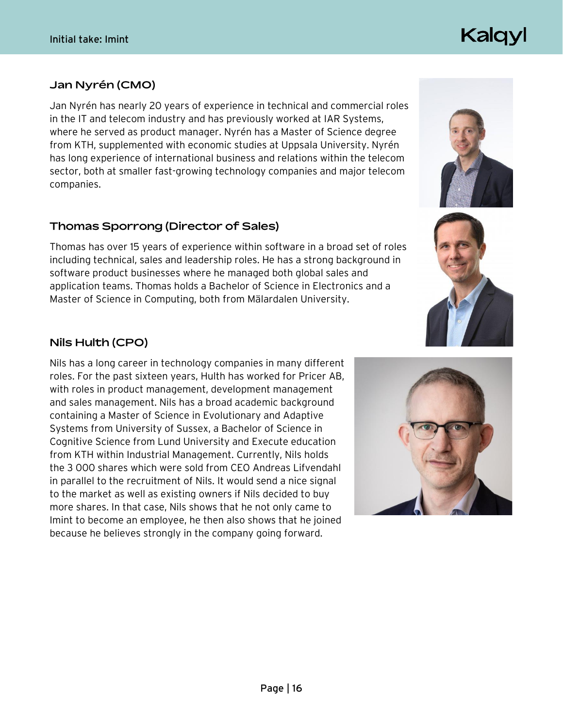# Kalqyl

#### Jan Nyrén (CMO)

Jan Nyrén has nearly 20 years of experience in technical and commercial roles in the IT and telecom industry and has previously worked at IAR Systems, where he served as product manager. Nyrén has a Master of Science degree from KTH, supplemented with economic studies at Uppsala University. Nyrén has long experience of international business and relations within the telecom sector, both at smaller fast-growing technology companies and major telecom companies.

#### Thomas Sporrong (Director of Sales)

Thomas has over 15 years of experience within software in a broad set of roles including technical, sales and leadership roles. He has a strong background in software product businesses where he managed both global sales and application teams. Thomas holds a Bachelor of Science in Electronics and a Master of Science in Computing, both from Mälardalen University.

#### Nils Hulth (CPO)

Nils has a long career in technology companies in many different roles. For the past sixteen years, Hulth has worked for Pricer AB, with roles in product management, development management and sales management. Nils has a broad academic background containing a Master of Science in Evolutionary and Adaptive Systems from University of Sussex, a Bachelor of Science in Cognitive Science from Lund University and Execute education from KTH within Industrial Management. Currently, Nils holds the 3 000 shares which were sold from CEO Andreas Lifvendahl in parallel to the recruitment of Nils. It would send a nice signal to the market as well as existing owners if Nils decided to buy more shares. In that case, Nils shows that he not only came to Imint to become an employee, he then also shows that he joined because he believes strongly in the company going forward.





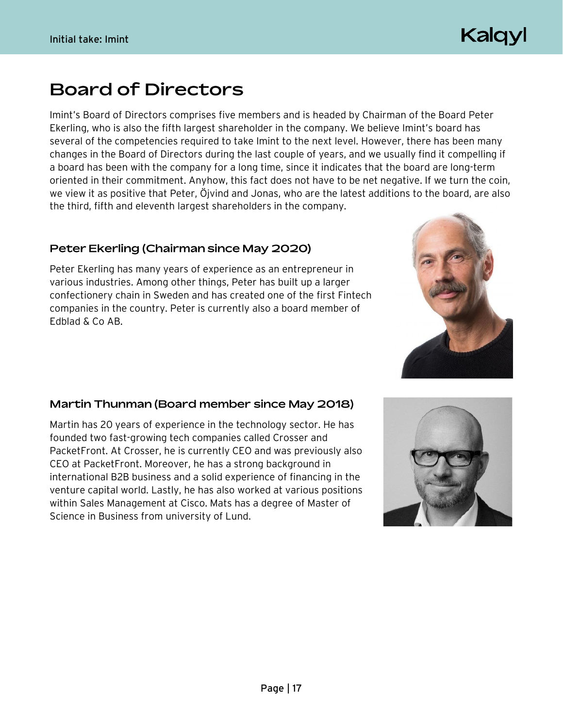

## <span id="page-16-0"></span>**Board of Directors**

Imint's Board of Directors comprises five members and is headed by Chairman of the Board Peter Ekerling, who is also the fifth largest shareholder in the company. We believe Imint's board has several of the competencies required to take Imint to the next level. However, there has been many changes in the Board of Directors during the last couple of years, and we usually find it compelling if a board has been with the company for a long time, since it indicates that the board are long-term oriented in their commitment. Anyhow, this fact does not have to be net negative. If we turn the coin, we view it as positive that Peter, Öjvind and Jonas, who are the latest additions to the board, are also the third, fifth and eleventh largest shareholders in the company.

#### Peter Ekerling (Chairman since May 2020)

Peter Ekerling has many years of experience as an entrepreneur in various industries. Among other things, Peter has built up a larger confectionery chain in Sweden and has created one of the first Fintech companies in the country. Peter is currently also a board member of Edblad & Co AB.

#### Martin Thunman (Board member since May 2018)

Martin has 20 years of experience in the technology sector. He has founded two fast-growing tech companies called Crosser and PacketFront. At Crosser, he is currently CEO and was previously also CEO at PacketFront. Moreover, he has a strong background in international B2B business and a solid experience of financing in the venture capital world. Lastly, he has also worked at various positions within Sales Management at Cisco. Mats has a degree of Master of Science in Business from university of Lund.



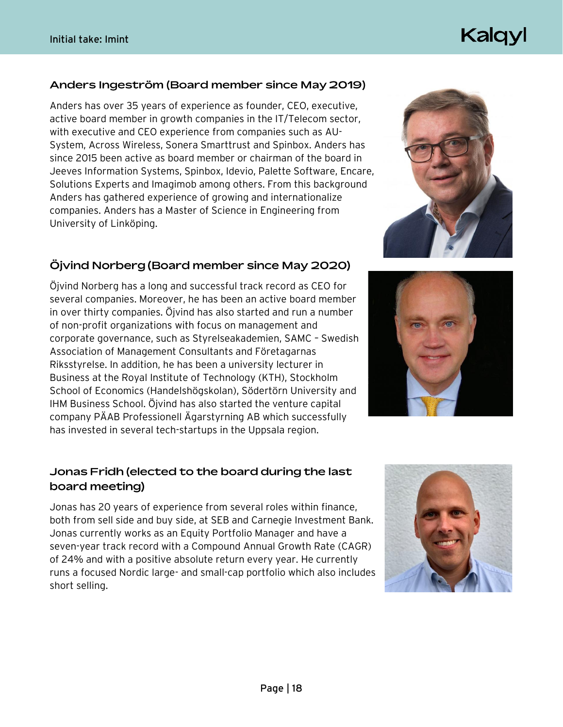# Kalqyl

#### Anders Ingeström (Board member since May 2019)

Anders has over 35 years of experience as founder, CEO, executive, active board member in growth companies in the IT/Telecom sector, with executive and CEO experience from companies such as AU-System, Across Wireless, Sonera Smarttrust and Spinbox. Anders has since 2015 been active as board member or chairman of the board in Jeeves Information Systems, Spinbox, Idevio, Palette Software, Encare, Solutions Experts and Imagimob among others. From this background Anders has gathered experience of growing and internationalize companies. Anders has a Master of Science in Engineering from University of Linköping.

#### Öjvind Norberg (Board member since May 2020)

Öjvind Norberg has a long and successful track record as CEO for several companies. Moreover, he has been an active board member in over thirty companies. Öjvind has also started and run a number of non-profit organizations with focus on management and corporate governance, such as Styrelseakademien, SAMC – Swedish Association of Management Consultants and Företagarnas Riksstyrelse. In addition, he has been a university lecturer in Business at the Royal Institute of Technology (KTH), Stockholm School of Economics (Handelshögskolan), Södertörn University and IHM Business School. Öjvind has also started the venture capital company PÄAB Professionell Ägarstyrning AB which successfully has invested in several tech-startups in the Uppsala region.



#### Jonas Fridh (elected to the board during the last board meeting)

Jonas has 20 years of experience from several roles within finance, both from sell side and buy side, at SEB and Carnegie Investment Bank. Jonas currently works as an Equity Portfolio Manager and have a seven-year track record with a Compound Annual Growth Rate (CAGR) of 24% and with a positive absolute return every year. He currently runs a focused Nordic large- and small-cap portfolio which also includes short selling.

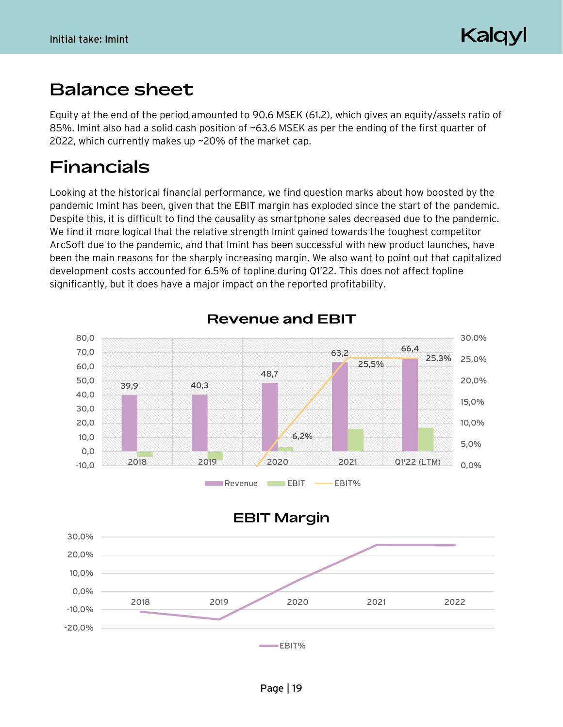## <span id="page-18-0"></span>**Balance sheet**

Equity at the end of the period amounted to 90.6 MSEK (61.2), which gives an equity/assets ratio of 85%. Imint also had a solid cash position of ~63.6 MSEK as per the ending of the first quarter of 2022, which currently makes up ~20% of the market cap.

## <span id="page-18-1"></span>**Financials**

Looking at the historical financial performance, we find question marks about how boosted by the pandemic Imint has been, given that the EBIT margin has exploded since the start of the pandemic. Despite this, it is difficult to find the causality as smartphone sales decreased due to the pandemic. We find it more logical that the relative strength Imint gained towards the toughest competitor ArcSoft due to the pandemic, and that Imint has been successful with new product launches, have been the main reasons for the sharply increasing margin. We also want to point out that capitalized development costs accounted for 6.5% of topline during Q1'22. This does not affect topline significantly, but it does have a major impact on the reported profitability.



**Revenue and EBIT**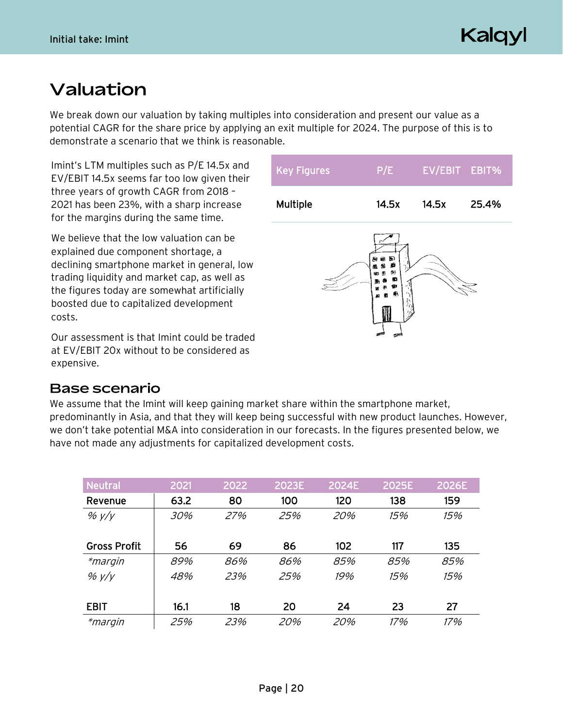## <span id="page-19-0"></span>Valuation

We break down our valuation by taking multiples into consideration and present our value as a potential CAGR for the share price by applying an exit multiple for 2024. The purpose of this is to demonstrate a scenario that we think is reasonable.

Imint's LTM multiples such as P/E 14.5x and EV/EBIT 14.5x seems far too low given their three years of growth CAGR from 2018 – 2021 has been 23%, with a sharp increase for the margins during the same time.

We believe that the low valuation can be explained due component shortage, a declining smartphone market in general, low trading liquidity and market cap, as well as the figures today are somewhat artificially boosted due to capitalized development costs.

<span id="page-19-1"></span>Our assessment is that Imint could be traded at EV/EBIT 20x without to be considered as expensive.

#### **Base scenario**

We assume that the Imint will keep gaining market share within the smartphone market, predominantly in Asia, and that they will keep being successful with new product launches. However, we don't take potential M&A into consideration in our forecasts. In the figures presented below, we have not made any adjustments for capitalized development costs.

| <b>Neutral</b>      | 2021 | 2022 | 2023E | 2024E | 2025E | 2026E |
|---------------------|------|------|-------|-------|-------|-------|
| Revenue             | 63.2 | 80   | 100   | 120   | 138   | 159   |
| % $y/y$             | 30%  | 27%  | 25%   | 20%   | 15%   | 15%   |
|                     |      |      |       |       |       |       |
| <b>Gross Profit</b> | 56   | 69   | 86    | 102   | 117   | 135   |
| <i>*margin</i>      | 89%  | 86%  | 86%   | 85%   | 85%   | 85%   |
| % $y/y$             | 48%  | 23%  | 25%   | 19%   | 15%   | 15%   |
|                     |      |      |       |       |       |       |
| <b>EBIT</b>         | 16.1 | 18   | 20    | 24    | 23    | 27    |
| <i>*margin</i>      | 25%  | 23%  | 20%   | 20%   | 17%   | 17%   |

| <b>Key Figures</b> | P/E                                                                | EV/EBIT EBIT% |       |
|--------------------|--------------------------------------------------------------------|---------------|-------|
| Multiple           | 14.5x                                                              | 14.5x         | 25.4% |
|                    | D<br>Θ<br>囪<br>ø<br>D<br>围<br>ø<br>ø<br>v<br>B<br>♠<br>ū<br>届<br>٠ |               |       |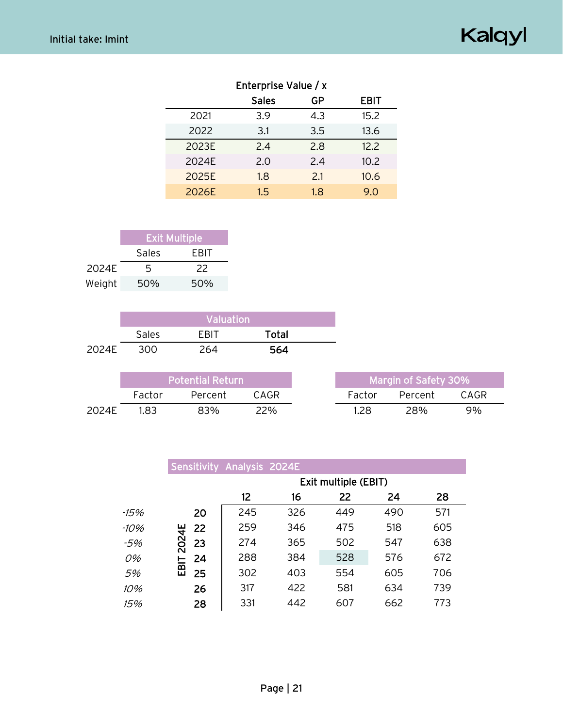## Kalqyl

|       | <b>Sales</b> | GP  | <b>EBIT</b> |
|-------|--------------|-----|-------------|
| 2021  | 3.9          | 4.3 | 15.2        |
| 2022  | 3.1          | 3.5 | 13.6        |
| 2023E | 2.4          | 2.8 | 12.2        |
| 2024E | 2.0          | 2.4 | 10.2        |
| 2025E | 1.8          | 2.1 | 10.6        |
| 2026E | 1.5          | 1.8 | 9.0         |

|        | <b>Exit Multiple</b> |      |  |
|--------|----------------------|------|--|
|        | Sales                | FRIT |  |
| 2024F  | 5                    | 22   |  |
| Weight | 50%                  | 50%  |  |

|       | Valuation |             |       |  |  |
|-------|-----------|-------------|-------|--|--|
|       | Sales     | <b>FRIT</b> | Total |  |  |
| 2024F | 300       | 264         | 564   |  |  |

|       | Potential Return |         |             | Margin of Safety 30% |         |      |
|-------|------------------|---------|-------------|----------------------|---------|------|
|       | Factor           | Percent | CAGR        | Factor               | Percent | CAGR |
| 2024F | 183.             | 83%     | <u> 2% </u> | 1.28                 | 28%     | 9%   |

|        | <b>Sensitivity Analysis 2024E</b> |                 |                      |     |     |     |  |  |
|--------|-----------------------------------|-----------------|----------------------|-----|-----|-----|--|--|
|        |                                   |                 | Exit multiple (EBIT) |     |     |     |  |  |
|        |                                   | 12 <sup>2</sup> | 16                   | 22  | 24  | 28  |  |  |
| -15%   | 20                                | 245             | 326                  | 449 | 490 | 571 |  |  |
| $-10%$ | 22                                | 259             | 346                  | 475 | 518 | 605 |  |  |
| $-5%$  | 2024E<br>23                       | 274             | 365                  | 502 | 547 | 638 |  |  |
| 0%     | 24<br>E                           | 288             | 384                  | 528 | 576 | 672 |  |  |
| 5%     | 舀<br>25                           | 302             | 403                  | 554 | 605 | 706 |  |  |
| 10%    | 26                                | 317             | 422                  | 581 | 634 | 739 |  |  |
| 15%    | 28                                | 331             | 442                  | 607 | 662 | 773 |  |  |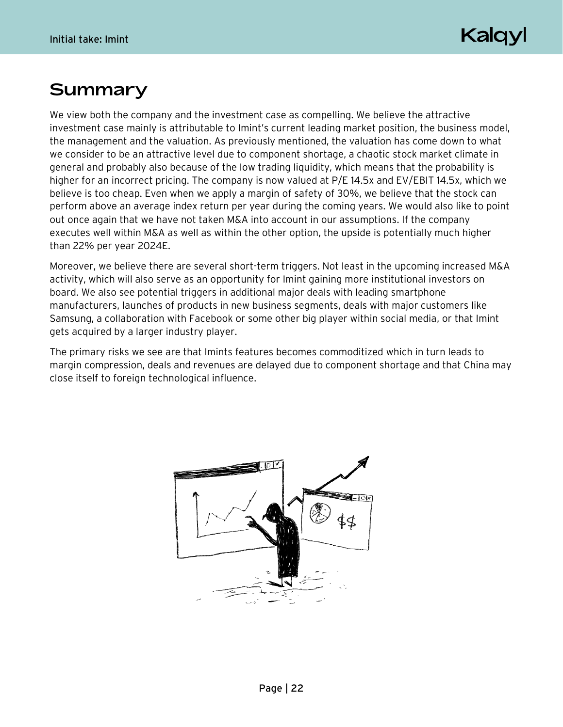## <span id="page-21-0"></span>**Summary**

We view both the company and the investment case as compelling. We believe the attractive investment case mainly is attributable to Imint's current leading market position, the business model, the management and the valuation. As previously mentioned, the valuation has come down to what we consider to be an attractive level due to component shortage, a chaotic stock market climate in general and probably also because of the low trading liquidity, which means that the probability is higher for an incorrect pricing. The company is now valued at P/E 14.5x and EV/EBIT 14.5x, which we believe is too cheap. Even when we apply a margin of safety of 30%, we believe that the stock can perform above an average index return per year during the coming years. We would also like to point out once again that we have not taken M&A into account in our assumptions. If the company executes well within M&A as well as within the other option, the upside is potentially much higher than 22% per year 2024E.

Moreover, we believe there are several short-term triggers. Not least in the upcoming increased M&A activity, which will also serve as an opportunity for Imint gaining more institutional investors on board. We also see potential triggers in additional major deals with leading smartphone manufacturers, launches of products in new business segments, deals with major customers like Samsung, a collaboration with Facebook or some other big player within social media, or that Imint gets acquired by a larger industry player.

The primary risks we see are that Imints features becomes commoditized which in turn leads to margin compression, deals and revenues are delayed due to component shortage and that China may close itself to foreign technological influence.